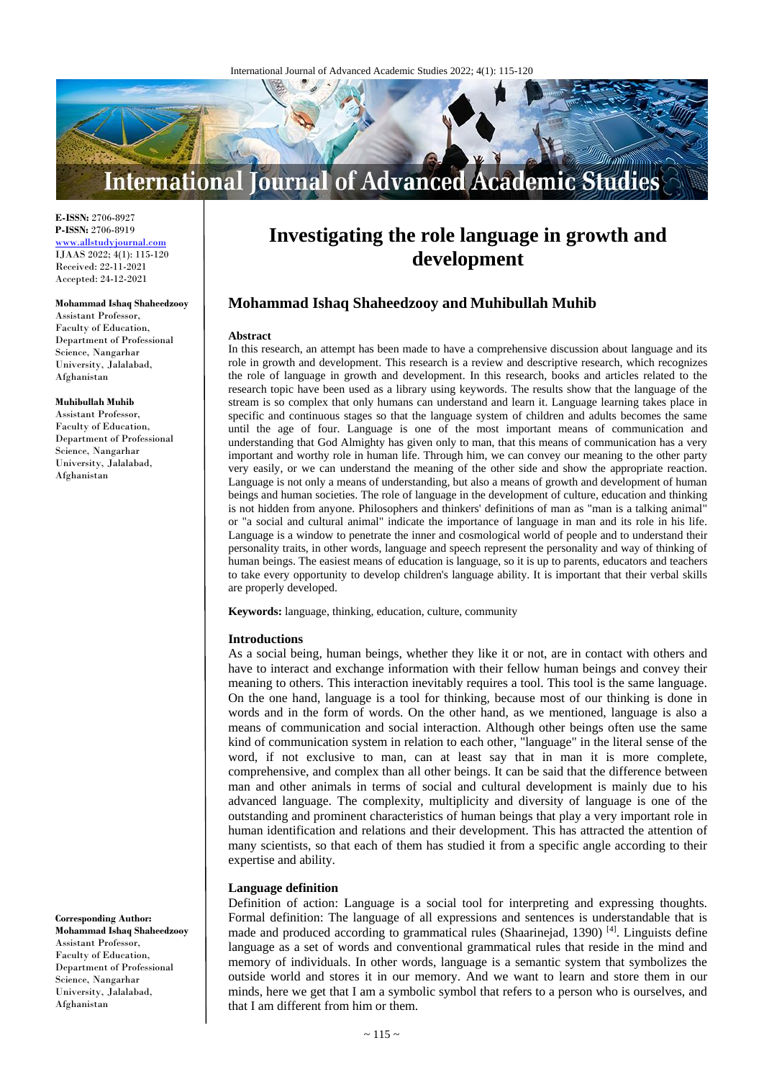

**E-ISSN:** 2706-8927 **P-ISSN:** 2706-8919 <www.allstudyjournal.com> IJAAS 2022; 4(1): 115-120 Received: 22-11-2021 Accepted: 24-12-2021

#### **Mohammad Ishaq Shaheedzooy**

Assistant Professor, Faculty of Education, Department of Professional Science, Nangarhar University, Jalalabad, Afghanistan

#### **Muhibullah Muhib**

Assistant Professor, Faculty of Education, Department of Professional Science, Nangarhar University, Jalalabad, Afghanistan

**Corresponding Author: Mohammad Ishaq Shaheedzooy**

Assistant Professor, Faculty of Education, Department of Professional Science, Nangarhar University, Jalalabad, Afghanistan

# **Investigating the role language in growth and development**

# **Mohammad Ishaq Shaheedzooy and Muhibullah Muhib**

#### **Abstract**

In this research, an attempt has been made to have a comprehensive discussion about language and its role in growth and development. This research is a review and descriptive research, which recognizes the role of language in growth and development. In this research, books and articles related to the research topic have been used as a library using keywords. The results show that the language of the stream is so complex that only humans can understand and learn it. Language learning takes place in specific and continuous stages so that the language system of children and adults becomes the same until the age of four. Language is one of the most important means of communication and understanding that God Almighty has given only to man, that this means of communication has a very important and worthy role in human life. Through him, we can convey our meaning to the other party very easily, or we can understand the meaning of the other side and show the appropriate reaction. Language is not only a means of understanding, but also a means of growth and development of human beings and human societies. The role of language in the development of culture, education and thinking is not hidden from anyone. Philosophers and thinkers' definitions of man as "man is a talking animal" or "a social and cultural animal" indicate the importance of language in man and its role in his life. Language is a window to penetrate the inner and cosmological world of people and to understand their personality traits, in other words, language and speech represent the personality and way of thinking of human beings. The easiest means of education is language, so it is up to parents, educators and teachers to take every opportunity to develop children's language ability. It is important that their verbal skills are properly developed.

**Keywords:** language, thinking, education, culture, community

#### **Introductions**

As a social being, human beings, whether they like it or not, are in contact with others and have to interact and exchange information with their fellow human beings and convey their meaning to others. This interaction inevitably requires a tool. This tool is the same language. On the one hand, language is a tool for thinking, because most of our thinking is done in words and in the form of words. On the other hand, as we mentioned, language is also a means of communication and social interaction. Although other beings often use the same kind of communication system in relation to each other, "language" in the literal sense of the word, if not exclusive to man, can at least say that in man it is more complete, comprehensive, and complex than all other beings. It can be said that the difference between man and other animals in terms of social and cultural development is mainly due to his advanced language. The complexity, multiplicity and diversity of language is one of the outstanding and prominent characteristics of human beings that play a very important role in human identification and relations and their development. This has attracted the attention of many scientists, so that each of them has studied it from a specific angle according to their expertise and ability.

#### **Language definition**

Definition of action: Language is a social tool for interpreting and expressing thoughts. Formal definition: The language of all expressions and sentences is understandable that is made and produced according to grammatical rules (Shaarinejad, 1390)<sup>[4]</sup>. Linguists define language as a set of words and conventional grammatical rules that reside in the mind and memory of individuals. In other words, language is a semantic system that symbolizes the outside world and stores it in our memory. And we want to learn and store them in our minds, here we get that I am a symbolic symbol that refers to a person who is ourselves, and that I am different from him or them.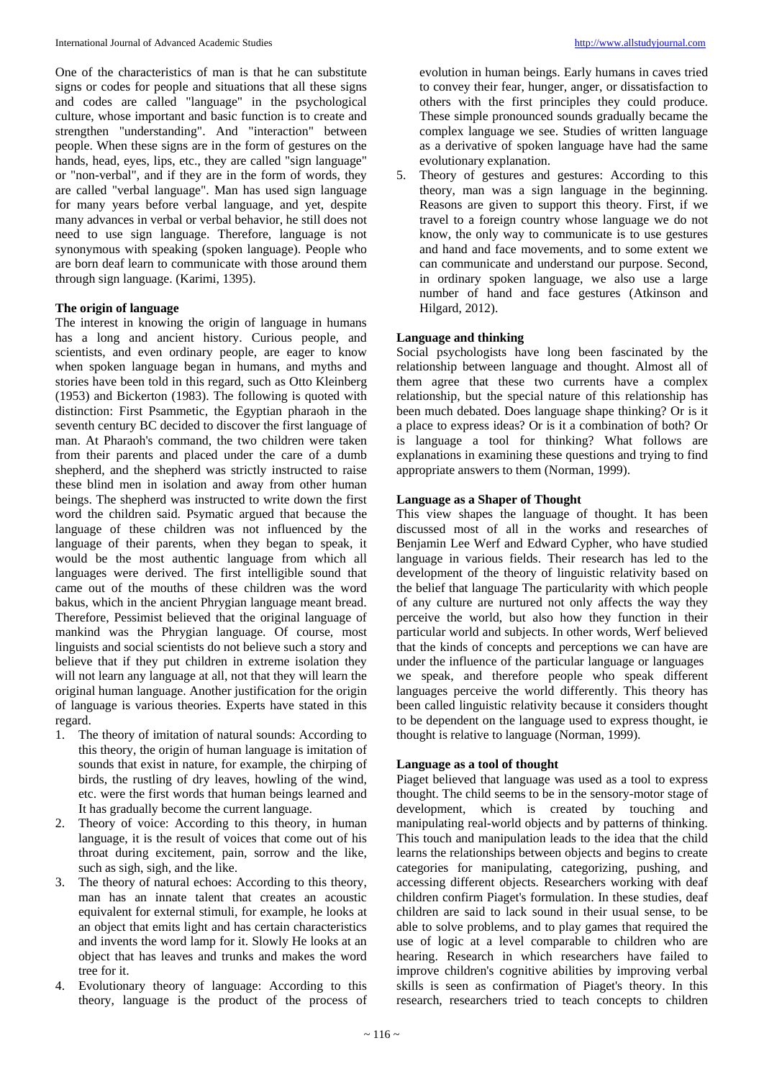One of the characteristics of man is that he can substitute signs or codes for people and situations that all these signs and codes are called "language" in the psychological culture, whose important and basic function is to create and strengthen "understanding". And "interaction" between people. When these signs are in the form of gestures on the hands, head, eyes, lips, etc., they are called "sign language" or "non-verbal", and if they are in the form of words, they are called "verbal language". Man has used sign language for many years before verbal language, and yet, despite many advances in verbal or verbal behavior, he still does not need to use sign language. Therefore, language is not synonymous with speaking (spoken language). People who are born deaf learn to communicate with those around them through sign language. (Karimi, 1395).

# **The origin of language**

The interest in knowing the origin of language in humans has a long and ancient history. Curious people, and scientists, and even ordinary people, are eager to know when spoken language began in humans, and myths and stories have been told in this regard, such as Otto Kleinberg (1953) and Bickerton (1983). The following is quoted with distinction: First Psammetic, the Egyptian pharaoh in the seventh century BC decided to discover the first language of man. At Pharaoh's command, the two children were taken from their parents and placed under the care of a dumb shepherd, and the shepherd was strictly instructed to raise these blind men in isolation and away from other human beings. The shepherd was instructed to write down the first word the children said. Psymatic argued that because the language of these children was not influenced by the language of their parents, when they began to speak, it would be the most authentic language from which all languages were derived. The first intelligible sound that came out of the mouths of these children was the word bakus, which in the ancient Phrygian language meant bread. Therefore, Pessimist believed that the original language of mankind was the Phrygian language. Of course, most linguists and social scientists do not believe such a story and believe that if they put children in extreme isolation they will not learn any language at all, not that they will learn the original human language. Another justification for the origin of language is various theories. Experts have stated in this regard.

- 1. The theory of imitation of natural sounds: According to this theory, the origin of human language is imitation of sounds that exist in nature, for example, the chirping of birds, the rustling of dry leaves, howling of the wind, etc. were the first words that human beings learned and It has gradually become the current language.
- 2. Theory of voice: According to this theory, in human language, it is the result of voices that come out of his throat during excitement, pain, sorrow and the like, such as sigh, sigh, and the like.
- 3. The theory of natural echoes: According to this theory, man has an innate talent that creates an acoustic equivalent for external stimuli, for example, he looks at an object that emits light and has certain characteristics and invents the word lamp for it. Slowly He looks at an object that has leaves and trunks and makes the word tree for it.
- 4. Evolutionary theory of language: According to this theory, language is the product of the process of

evolution in human beings. Early humans in caves tried to convey their fear, hunger, anger, or dissatisfaction to others with the first principles they could produce. These simple pronounced sounds gradually became the complex language we see. Studies of written language as a derivative of spoken language have had the same evolutionary explanation.

5. Theory of gestures and gestures: According to this theory, man was a sign language in the beginning. Reasons are given to support this theory. First, if we travel to a foreign country whose language we do not know, the only way to communicate is to use gestures and hand and face movements, and to some extent we can communicate and understand our purpose. Second, in ordinary spoken language, we also use a large number of hand and face gestures (Atkinson and Hilgard, 2012).

# **Language and thinking**

Social psychologists have long been fascinated by the relationship between language and thought. Almost all of them agree that these two currents have a complex relationship, but the special nature of this relationship has been much debated. Does language shape thinking? Or is it a place to express ideas? Or is it a combination of both? Or is language a tool for thinking? What follows are explanations in examining these questions and trying to find appropriate answers to them (Norman, 1999).

# **Language as a Shaper of Thought**

This view shapes the language of thought. It has been discussed most of all in the works and researches of Benjamin Lee Werf and Edward Cypher, who have studied language in various fields. Their research has led to the development of the theory of linguistic relativity based on the belief that language The particularity with which people of any culture are nurtured not only affects the way they perceive the world, but also how they function in their particular world and subjects. In other words, Werf believed that the kinds of concepts and perceptions we can have are under the influence of the particular language or languages we speak, and therefore people who speak different languages perceive the world differently. This theory has been called linguistic relativity because it considers thought to be dependent on the language used to express thought, ie thought is relative to language (Norman, 1999).

## **Language as a tool of thought**

Piaget believed that language was used as a tool to express thought. The child seems to be in the sensory-motor stage of development, which is created by touching and manipulating real-world objects and by patterns of thinking. This touch and manipulation leads to the idea that the child learns the relationships between objects and begins to create categories for manipulating, categorizing, pushing, and accessing different objects. Researchers working with deaf children confirm Piaget's formulation. In these studies, deaf children are said to lack sound in their usual sense, to be able to solve problems, and to play games that required the use of logic at a level comparable to children who are hearing. Research in which researchers have failed to improve children's cognitive abilities by improving verbal skills is seen as confirmation of Piaget's theory. In this research, researchers tried to teach concepts to children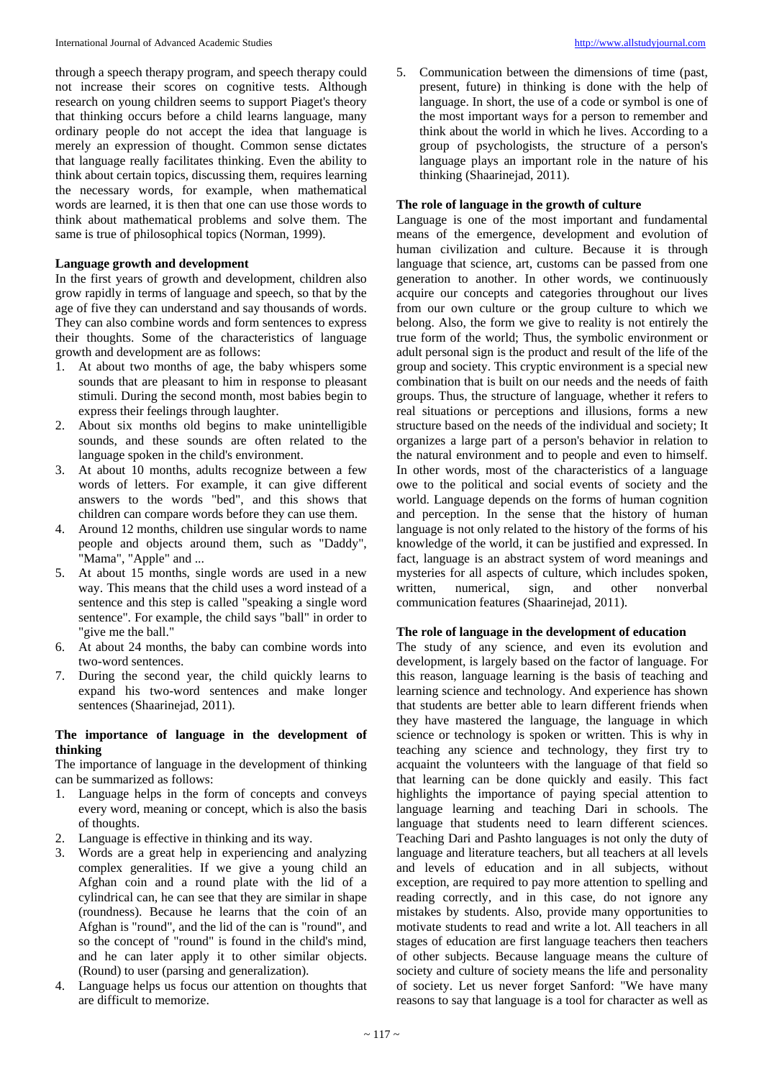through a speech therapy program, and speech therapy could not increase their scores on cognitive tests. Although research on young children seems to support Piaget's theory that thinking occurs before a child learns language, many ordinary people do not accept the idea that language is merely an expression of thought. Common sense dictates that language really facilitates thinking. Even the ability to think about certain topics, discussing them, requires learning the necessary words, for example, when mathematical words are learned, it is then that one can use those words to think about mathematical problems and solve them. The same is true of philosophical topics (Norman, 1999).

# **Language growth and development**

In the first years of growth and development, children also grow rapidly in terms of language and speech, so that by the age of five they can understand and say thousands of words. They can also combine words and form sentences to express their thoughts. Some of the characteristics of language growth and development are as follows:

- 1. At about two months of age, the baby whispers some sounds that are pleasant to him in response to pleasant stimuli. During the second month, most babies begin to express their feelings through laughter.
- 2. About six months old begins to make unintelligible sounds, and these sounds are often related to the language spoken in the child's environment.
- 3. At about 10 months, adults recognize between a few words of letters. For example, it can give different answers to the words "bed", and this shows that children can compare words before they can use them.
- 4. Around 12 months, children use singular words to name people and objects around them, such as "Daddy", "Mama", "Apple" and ...
- 5. At about 15 months, single words are used in a new way. This means that the child uses a word instead of a sentence and this step is called "speaking a single word sentence". For example, the child says "ball" in order to "give me the ball."
- 6. At about 24 months, the baby can combine words into two-word sentences.
- 7. During the second year, the child quickly learns to expand his two-word sentences and make longer sentences (Shaarinejad, 2011).

# **The importance of language in the development of thinking**

The importance of language in the development of thinking can be summarized as follows:

- 1. Language helps in the form of concepts and conveys every word, meaning or concept, which is also the basis of thoughts.
- 2. Language is effective in thinking and its way.
- 3. Words are a great help in experiencing and analyzing complex generalities. If we give a young child an Afghan coin and a round plate with the lid of a cylindrical can, he can see that they are similar in shape (roundness). Because he learns that the coin of an Afghan is "round", and the lid of the can is "round", and so the concept of "round" is found in the child's mind, and he can later apply it to other similar objects. (Round) to user (parsing and generalization).
- 4. Language helps us focus our attention on thoughts that are difficult to memorize.

5. Communication between the dimensions of time (past, present, future) in thinking is done with the help of language. In short, the use of a code or symbol is one of the most important ways for a person to remember and think about the world in which he lives. According to a group of psychologists, the structure of a person's language plays an important role in the nature of his thinking (Shaarinejad, 2011).

# **The role of language in the growth of culture**

Language is one of the most important and fundamental means of the emergence, development and evolution of human civilization and culture. Because it is through language that science, art, customs can be passed from one generation to another. In other words, we continuously acquire our concepts and categories throughout our lives from our own culture or the group culture to which we belong. Also, the form we give to reality is not entirely the true form of the world; Thus, the symbolic environment or adult personal sign is the product and result of the life of the group and society. This cryptic environment is a special new combination that is built on our needs and the needs of faith groups. Thus, the structure of language, whether it refers to real situations or perceptions and illusions, forms a new structure based on the needs of the individual and society; It organizes a large part of a person's behavior in relation to the natural environment and to people and even to himself. In other words, most of the characteristics of a language owe to the political and social events of society and the world. Language depends on the forms of human cognition and perception. In the sense that the history of human language is not only related to the history of the forms of his knowledge of the world, it can be justified and expressed. In fact, language is an abstract system of word meanings and mysteries for all aspects of culture, which includes spoken, written, numerical, sign, and other nonverbal communication features (Shaarinejad, 2011).

## **The role of language in the development of education**

The study of any science, and even its evolution and development, is largely based on the factor of language. For this reason, language learning is the basis of teaching and learning science and technology. And experience has shown that students are better able to learn different friends when they have mastered the language, the language in which science or technology is spoken or written. This is why in teaching any science and technology, they first try to acquaint the volunteers with the language of that field so that learning can be done quickly and easily. This fact highlights the importance of paying special attention to language learning and teaching Dari in schools. The language that students need to learn different sciences. Teaching Dari and Pashto languages is not only the duty of language and literature teachers, but all teachers at all levels and levels of education and in all subjects, without exception, are required to pay more attention to spelling and reading correctly, and in this case, do not ignore any mistakes by students. Also, provide many opportunities to motivate students to read and write a lot. All teachers in all stages of education are first language teachers then teachers of other subjects. Because language means the culture of society and culture of society means the life and personality of society. Let us never forget Sanford: "We have many reasons to say that language is a tool for character as well as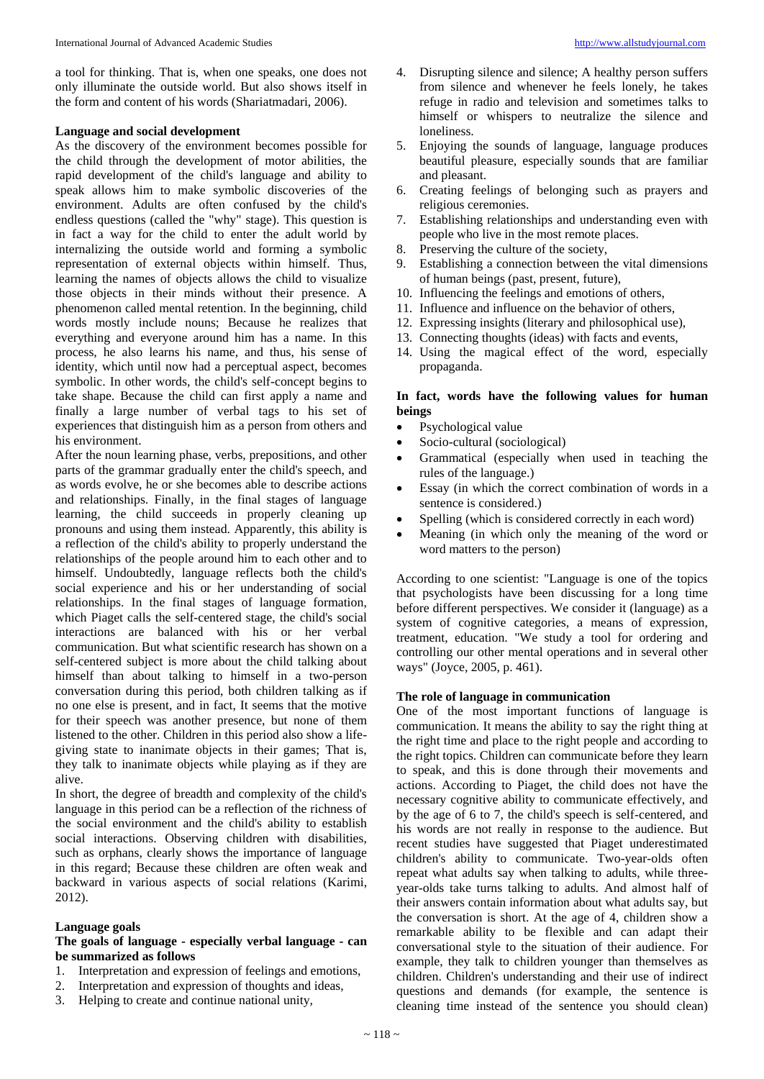a tool for thinking. That is, when one speaks, one does not only illuminate the outside world. But also shows itself in the form and content of his words (Shariatmadari, 2006).

## **Language and social development**

As the discovery of the environment becomes possible for the child through the development of motor abilities, the rapid development of the child's language and ability to speak allows him to make symbolic discoveries of the environment. Adults are often confused by the child's endless questions (called the "why" stage). This question is in fact a way for the child to enter the adult world by internalizing the outside world and forming a symbolic representation of external objects within himself. Thus, learning the names of objects allows the child to visualize those objects in their minds without their presence. A phenomenon called mental retention. In the beginning, child words mostly include nouns; Because he realizes that everything and everyone around him has a name. In this process, he also learns his name, and thus, his sense of identity, which until now had a perceptual aspect, becomes symbolic. In other words, the child's self-concept begins to take shape. Because the child can first apply a name and finally a large number of verbal tags to his set of experiences that distinguish him as a person from others and his environment.

After the noun learning phase, verbs, prepositions, and other parts of the grammar gradually enter the child's speech, and as words evolve, he or she becomes able to describe actions and relationships. Finally, in the final stages of language learning, the child succeeds in properly cleaning up pronouns and using them instead. Apparently, this ability is a reflection of the child's ability to properly understand the relationships of the people around him to each other and to himself. Undoubtedly, language reflects both the child's social experience and his or her understanding of social relationships. In the final stages of language formation, which Piaget calls the self-centered stage, the child's social interactions are balanced with his or her verbal communication. But what scientific research has shown on a self-centered subject is more about the child talking about himself than about talking to himself in a two-person conversation during this period, both children talking as if no one else is present, and in fact, It seems that the motive for their speech was another presence, but none of them listened to the other. Children in this period also show a lifegiving state to inanimate objects in their games; That is, they talk to inanimate objects while playing as if they are alive.

In short, the degree of breadth and complexity of the child's language in this period can be a reflection of the richness of the social environment and the child's ability to establish social interactions. Observing children with disabilities, such as orphans, clearly shows the importance of language in this regard; Because these children are often weak and backward in various aspects of social relations (Karimi, 2012).

## **Language goals**

# **The goals of language - especially verbal language - can be summarized as follows**

- 1. Interpretation and expression of feelings and emotions,
- 2. Interpretation and expression of thoughts and ideas,
- 3. Helping to create and continue national unity,
- 4. Disrupting silence and silence; A healthy person suffers from silence and whenever he feels lonely, he takes refuge in radio and television and sometimes talks to himself or whispers to neutralize the silence and loneliness.
- 5. Enjoying the sounds of language, language produces beautiful pleasure, especially sounds that are familiar and pleasant.
- 6. Creating feelings of belonging such as prayers and religious ceremonies.
- 7. Establishing relationships and understanding even with people who live in the most remote places.
- 8. Preserving the culture of the society,
- 9. Establishing a connection between the vital dimensions of human beings (past, present, future),
- 10. Influencing the feelings and emotions of others,
- 11. Influence and influence on the behavior of others,
- 12. Expressing insights (literary and philosophical use),
- 13. Connecting thoughts (ideas) with facts and events,
- 14. Using the magical effect of the word, especially propaganda.

# **In fact, words have the following values for human beings**

- Psychological value
- Socio-cultural (sociological)
- Grammatical (especially when used in teaching the rules of the language.)
- Essay (in which the correct combination of words in a sentence is considered.)
- Spelling (which is considered correctly in each word)
- Meaning (in which only the meaning of the word or word matters to the person)

According to one scientist: "Language is one of the topics that psychologists have been discussing for a long time before different perspectives. We consider it (language) as a system of cognitive categories, a means of expression, treatment, education. "We study a tool for ordering and controlling our other mental operations and in several other ways" (Joyce, 2005, p. 461).

## **The role of language in communication**

One of the most important functions of language is communication. It means the ability to say the right thing at the right time and place to the right people and according to the right topics. Children can communicate before they learn to speak, and this is done through their movements and actions. According to Piaget, the child does not have the necessary cognitive ability to communicate effectively, and by the age of 6 to 7, the child's speech is self-centered, and his words are not really in response to the audience. But recent studies have suggested that Piaget underestimated children's ability to communicate. Two-year-olds often repeat what adults say when talking to adults, while threeyear-olds take turns talking to adults. And almost half of their answers contain information about what adults say, but the conversation is short. At the age of 4, children show a remarkable ability to be flexible and can adapt their conversational style to the situation of their audience. For example, they talk to children younger than themselves as children. Children's understanding and their use of indirect questions and demands (for example, the sentence is cleaning time instead of the sentence you should clean)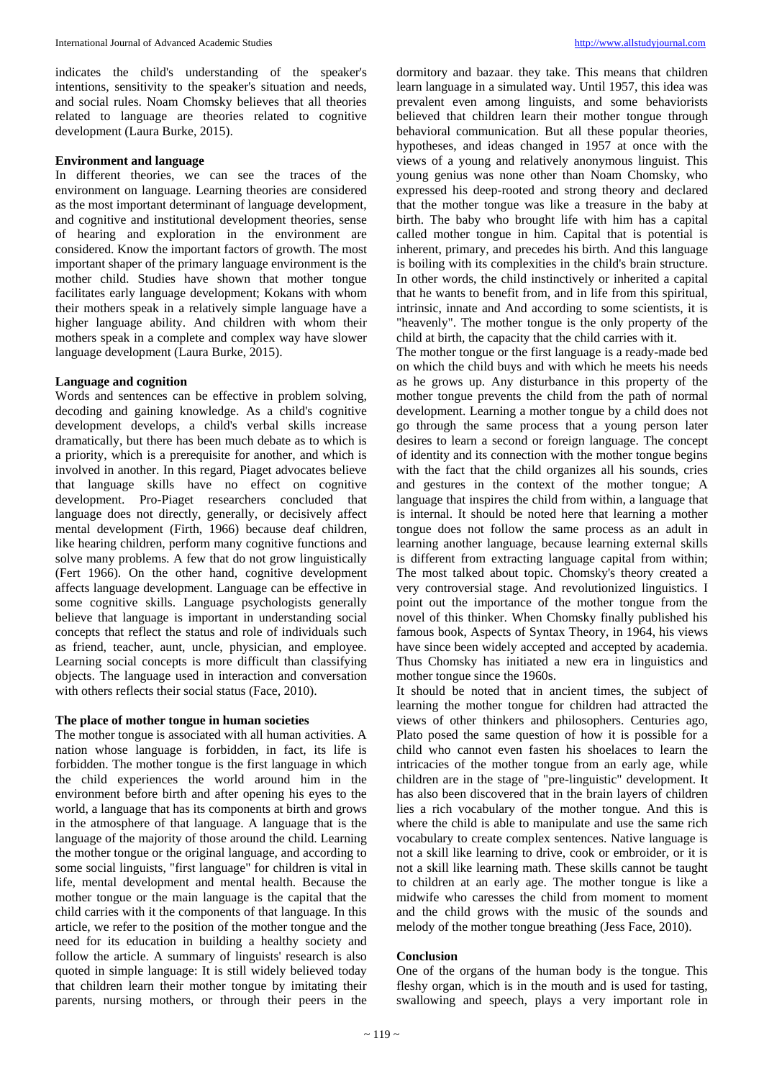indicates the child's understanding of the speaker's intentions, sensitivity to the speaker's situation and needs, and social rules. Noam Chomsky believes that all theories related to language are theories related to cognitive development (Laura Burke, 2015).

# **Environment and language**

In different theories, we can see the traces of the environment on language. Learning theories are considered as the most important determinant of language development, and cognitive and institutional development theories, sense of hearing and exploration in the environment are considered. Know the important factors of growth. The most important shaper of the primary language environment is the mother child. Studies have shown that mother tongue facilitates early language development; Kokans with whom their mothers speak in a relatively simple language have a higher language ability. And children with whom their mothers speak in a complete and complex way have slower language development (Laura Burke, 2015).

## **Language and cognition**

Words and sentences can be effective in problem solving, decoding and gaining knowledge. As a child's cognitive development develops, a child's verbal skills increase dramatically, but there has been much debate as to which is a priority, which is a prerequisite for another, and which is involved in another. In this regard, Piaget advocates believe that language skills have no effect on cognitive development. Pro-Piaget researchers concluded that language does not directly, generally, or decisively affect mental development (Firth, 1966) because deaf children, like hearing children, perform many cognitive functions and solve many problems. A few that do not grow linguistically (Fert 1966). On the other hand, cognitive development affects language development. Language can be effective in some cognitive skills. Language psychologists generally believe that language is important in understanding social concepts that reflect the status and role of individuals such as friend, teacher, aunt, uncle, physician, and employee. Learning social concepts is more difficult than classifying objects. The language used in interaction and conversation with others reflects their social status (Face, 2010).

# **The place of mother tongue in human societies**

The mother tongue is associated with all human activities. A nation whose language is forbidden, in fact, its life is forbidden. The mother tongue is the first language in which the child experiences the world around him in the environment before birth and after opening his eyes to the world, a language that has its components at birth and grows in the atmosphere of that language. A language that is the language of the majority of those around the child. Learning the mother tongue or the original language, and according to some social linguists, "first language" for children is vital in life, mental development and mental health. Because the mother tongue or the main language is the capital that the child carries with it the components of that language. In this article, we refer to the position of the mother tongue and the need for its education in building a healthy society and follow the article. A summary of linguists' research is also quoted in simple language: It is still widely believed today that children learn their mother tongue by imitating their parents, nursing mothers, or through their peers in the

dormitory and bazaar. they take. This means that children learn language in a simulated way. Until 1957, this idea was prevalent even among linguists, and some behaviorists believed that children learn their mother tongue through behavioral communication. But all these popular theories, hypotheses, and ideas changed in 1957 at once with the views of a young and relatively anonymous linguist. This young genius was none other than Noam Chomsky, who expressed his deep-rooted and strong theory and declared that the mother tongue was like a treasure in the baby at birth. The baby who brought life with him has a capital called mother tongue in him. Capital that is potential is inherent, primary, and precedes his birth. And this language is boiling with its complexities in the child's brain structure. In other words, the child instinctively or inherited a capital that he wants to benefit from, and in life from this spiritual, intrinsic, innate and And according to some scientists, it is "heavenly". The mother tongue is the only property of the child at birth, the capacity that the child carries with it.

The mother tongue or the first language is a ready-made bed on which the child buys and with which he meets his needs as he grows up. Any disturbance in this property of the mother tongue prevents the child from the path of normal development. Learning a mother tongue by a child does not go through the same process that a young person later desires to learn a second or foreign language. The concept of identity and its connection with the mother tongue begins with the fact that the child organizes all his sounds, cries and gestures in the context of the mother tongue; A language that inspires the child from within, a language that is internal. It should be noted here that learning a mother tongue does not follow the same process as an adult in learning another language, because learning external skills is different from extracting language capital from within; The most talked about topic. Chomsky's theory created a very controversial stage. And revolutionized linguistics. I point out the importance of the mother tongue from the novel of this thinker. When Chomsky finally published his famous book, Aspects of Syntax Theory, in 1964, his views have since been widely accepted and accepted by academia. Thus Chomsky has initiated a new era in linguistics and mother tongue since the 1960s.

It should be noted that in ancient times, the subject of learning the mother tongue for children had attracted the views of other thinkers and philosophers. Centuries ago, Plato posed the same question of how it is possible for a child who cannot even fasten his shoelaces to learn the intricacies of the mother tongue from an early age, while children are in the stage of "pre-linguistic" development. It has also been discovered that in the brain layers of children lies a rich vocabulary of the mother tongue. And this is where the child is able to manipulate and use the same rich vocabulary to create complex sentences. Native language is not a skill like learning to drive, cook or embroider, or it is not a skill like learning math. These skills cannot be taught to children at an early age. The mother tongue is like a midwife who caresses the child from moment to moment and the child grows with the music of the sounds and melody of the mother tongue breathing (Jess Face, 2010).

#### **Conclusion**

One of the organs of the human body is the tongue. This fleshy organ, which is in the mouth and is used for tasting, swallowing and speech, plays a very important role in